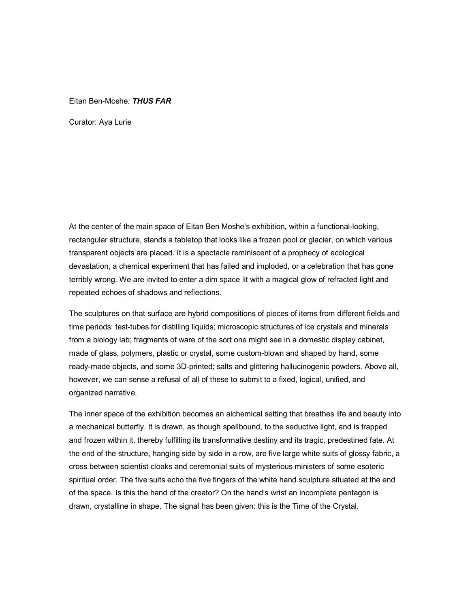## Eitan Ben-Moshe*: THUS FAR*

Curator: Aya Lurie

At the center of the main space of Eitan Ben Moshe's exhibition, within a functional-looking, rectangular structure, stands a tabletop that looks like a frozen pool or glacier, on which various transparent objects are placed. It is a spectacle reminiscent of a prophecy of ecological devastation, a chemical experiment that has failed and imploded, or a celebration that has gone terribly wrong. We are invited to enter a dim space lit with a magical glow of refracted light and repeated echoes of shadows and reflections.

The sculptures on that surface are hybrid compositions of pieces of items from different fields and time periods: test-tubes for distilling liquids; microscopic structures of ice crystals and minerals from a biology lab; fragments of ware of the sort one might see in a domestic display cabinet, made of glass, polymers, plastic or crystal, some custom-blown and shaped by hand, some ready-made objects, and some 3D-printed; salts and glittering hallucinogenic powders. Above all, however, we can sense a refusal of all of these to submit to a fixed, logical, unified, and organized narrative.

The inner space of the exhibition becomes an alchemical setting that breathes life and beauty into a mechanical butterfly. It is drawn, as though spellbound, to the seductive light, and is trapped and frozen within it, thereby fulfilling its transformative destiny and its tragic, predestined fate. At the end of the structure, hanging side by side in a row, are five large white suits of glossy fabric, a cross between scientist cloaks and ceremonial suits of mysterious ministers of some esoteric spiritual order. The five suits echo the five fingers of the white hand sculpture situated at the end of the space. Is this the hand of the creator? On the hand's wrist an incomplete pentagon is drawn, crystalline in shape. The signal has been given: this is the Time of the Crystal.